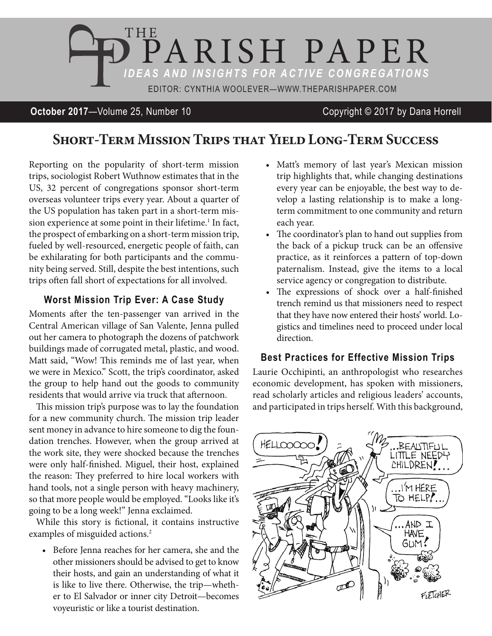

## **October 2017**—Volume 25, Number 10 Copyright © 2017 by Dana Horrell

# **Short-Term Mission Trips that Yield Long-Term Success**

Reporting on the popularity of short-term mission trips, sociologist Robert Wuthnow estimates that in the US, 32 percent of congregations sponsor short-term overseas volunteer trips every year. About a quarter of the US population has taken part in a short-term mission experience at some point in their lifetime.<sup>1</sup> In fact, the prospect of embarking on a short-term mission trip, fueled by well-resourced, energetic people of faith, can be exhilarating for both participants and the community being served. Still, despite the best intentions, such trips often fall short of expectations for all involved.

## **Worst Mission Trip Ever: A Case Study**

Moments after the ten-passenger van arrived in the Central American village of San Valente, Jenna pulled out her camera to photograph the dozens of patchwork buildings made of corrugated metal, plastic, and wood. Matt said, "Wow! This reminds me of last year, when we were in Mexico." Scott, the trip's coordinator, asked the group to help hand out the goods to community residents that would arrive via truck that afternoon.

This mission trip's purpose was to lay the foundation for a new community church. The mission trip leader sent money in advance to hire someone to dig the foundation trenches. However, when the group arrived at the work site, they were shocked because the trenches were only half-finished. Miguel, their host, explained the reason: They preferred to hire local workers with hand tools, not a single person with heavy machinery, so that more people would be employed. "Looks like it's going to be a long week!" Jenna exclaimed.

While this story is fictional, it contains instructive examples of misguided actions.<sup>2</sup>

• Before Jenna reaches for her camera, she and the other missioners should be advised to get to know their hosts, and gain an understanding of what it is like to live there. Otherwise, the trip—whether to El Salvador or inner city Detroit—becomes voyeuristic or like a tourist destination.

- Matt's memory of last year's Mexican mission trip highlights that, while changing destinations every year can be enjoyable, the best way to develop a lasting relationship is to make a longterm commitment to one community and return each year.
- The coordinator's plan to hand out supplies from the back of a pickup truck can be an offensive practice, as it reinforces a pattern of top-down paternalism. Instead, give the items to a local service agency or congregation to distribute.
- The expressions of shock over a half-finished trench remind us that missioners need to respect that they have now entered their hosts' world. Logistics and timelines need to proceed under local direction.

## **Best Practices for Effective Mission Trips**

Laurie Occhipinti, an anthropologist who researches economic development, has spoken with missioners, read scholarly articles and religious leaders' accounts, and participated in trips herself. With this background,